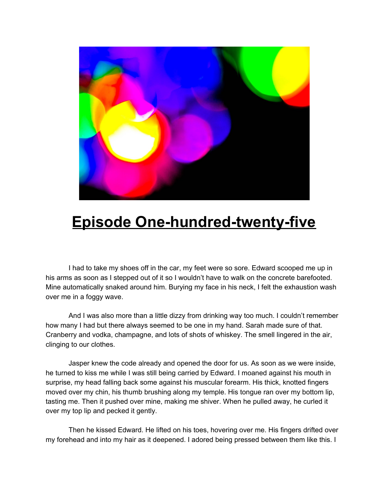

## **Episode One-hundred-twenty-five**

I had to take my shoes off in the car, my feet were so sore. Edward scooped me up in his arms as soon as I stepped out of it so I wouldn't have to walk on the concrete barefooted. Mine automatically snaked around him. Burying my face in his neck, I felt the exhaustion wash over me in a foggy wave.

And I was also more than a little dizzy from drinking way too much. I couldn't remember how many I had but there always seemed to be one in my hand. Sarah made sure of that. Cranberry and vodka, champagne, and lots of shots of whiskey. The smell lingered in the air, clinging to our clothes.

Jasper knew the code already and opened the door for us. As soon as we were inside, he turned to kiss me while I was still being carried by Edward. I moaned against his mouth in surprise, my head falling back some against his muscular forearm. His thick, knotted fingers moved over my chin, his thumb brushing along my temple. His tongue ran over my bottom lip, tasting me. Then it pushed over mine, making me shiver. When he pulled away, he curled it over my top lip and pecked it gently.

Then he kissed Edward. He lifted on his toes, hovering over me. His fingers drifted over my forehead and into my hair as it deepened. I adored being pressed between them like this. I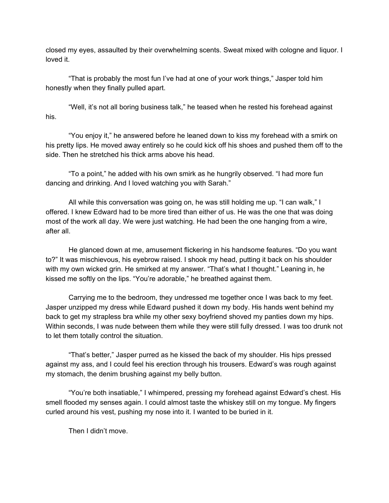closed my eyes, assaulted by their overwhelming scents. Sweat mixed with cologne and liquor. I loved it.

"That is probably the most fun I've had at one of your work things," Jasper told him honestly when they finally pulled apart.

"Well, it's not all boring business talk," he teased when he rested his forehead against his.

"You enjoy it," he answered before he leaned down to kiss my forehead with a smirk on his pretty lips. He moved away entirely so he could kick off his shoes and pushed them off to the side. Then he stretched his thick arms above his head.

"To a point," he added with his own smirk as he hungrily observed. "I had more fun dancing and drinking. And I loved watching you with Sarah."

All while this conversation was going on, he was still holding me up. "I can walk," I offered. I knew Edward had to be more tired than either of us. He was the one that was doing most of the work all day. We were just watching. He had been the one hanging from a wire, after all.

He glanced down at me, amusement flickering in his handsome features. "Do you want to?" It was mischievous, his eyebrow raised. I shook my head, putting it back on his shoulder with my own wicked grin. He smirked at my answer. "That's what I thought." Leaning in, he kissed me softly on the lips. "You're adorable," he breathed against them.

Carrying me to the bedroom, they undressed me together once I was back to my feet. Jasper unzipped my dress while Edward pushed it down my body. His hands went behind my back to get my strapless bra while my other sexy boyfriend shoved my panties down my hips. Within seconds, I was nude between them while they were still fully dressed. I was too drunk not to let them totally control the situation.

"That's better," Jasper purred as he kissed the back of my shoulder. His hips pressed against my ass, and I could feel his erection through his trousers. Edward's was rough against my stomach, the denim brushing against my belly button.

"You're both insatiable," I whimpered, pressing my forehead against Edward's chest. His smell flooded my senses again. I could almost taste the whiskey still on my tongue. My fingers curled around his vest, pushing my nose into it. I wanted to be buried in it.

Then I didn't move.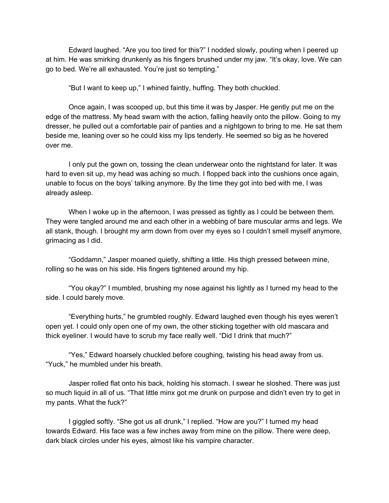Edward laughed. "Are you too tired for this?" I nodded slowly, pouting when I peered up at him. He was smirking drunkenly as his fingers brushed under my jaw. "It's okay, love. We can go to bed. We're all exhausted. You're just so tempting."

"But I want to keep up," I whined faintly, huffing. They both chuckled.

Once again, I was scooped up, but this time it was by Jasper. He gently put me on the edge of the mattress. My head swam with the action, falling heavily onto the pillow. Going to my dresser, he pulled out a comfortable pair of panties and a nightgown to bring to me. He sat them beside me, leaning over so he could kiss my lips tenderly. He seemed so big as he hovered over me.

I only put the gown on, tossing the clean underwear onto the nightstand for later. It was hard to even sit up, my head was aching so much. I flopped back into the cushions once again, unable to focus on the boys' talking anymore. By the time they got into bed with me, I was already asleep.

When I woke up in the afternoon, I was pressed as tightly as I could be between them. They were tangled around me and each other in a webbing of bare muscular arms and legs. We all stank, though. I brought my arm down from over my eyes so I couldn't smell myself anymore, grimacing as I did.

"Goddamn," Jasper moaned quietly, shifting a little. His thigh pressed between mine, rolling so he was on his side. His fingers tightened around my hip.

"You okay?" I mumbled, brushing my nose against his lightly as I turned my head to the side. I could barely move.

"Everything hurts," he grumbled roughly. Edward laughed even though his eyes weren't open yet. I could only open one of my own, the other sticking together with old mascara and thick eyeliner. I would have to scrub my face really well. "Did I drink that much?"

"Yes," Edward hoarsely chuckled before coughing, twisting his head away from us. "Yuck," he mumbled under his breath.

Jasper rolled flat onto his back, holding his stomach. I swear he sloshed. There was just so much liquid in all of us. "That little minx got me drunk on purpose and didn't even try to get in my pants. What the fuck?"

I giggled softly. "She got us all drunk," I replied. "How are you?" I turned my head towards Edward. His face was a few inches away from mine on the pillow. There were deep, dark black circles under his eyes, almost like his vampire character.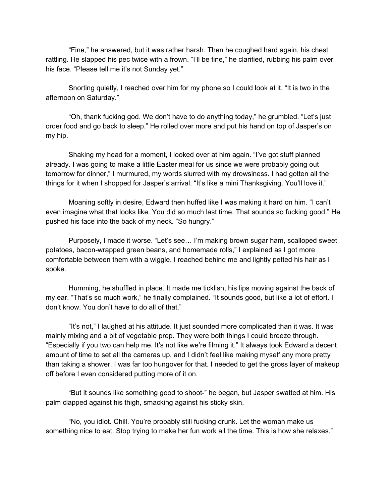"Fine," he answered, but it was rather harsh. Then he coughed hard again, his chest rattling. He slapped his pec twice with a frown. "I'll be fine," he clarified, rubbing his palm over his face. "Please tell me it's not Sunday yet."

Snorting quietly, I reached over him for my phone so I could look at it. "It is two in the afternoon on Saturday."

"Oh, thank fucking god. We don't have to do anything today," he grumbled. "Let's just order food and go back to sleep." He rolled over more and put his hand on top of Jasper's on my hip.

Shaking my head for a moment, I looked over at him again. "I've got stuff planned already. I was going to make a little Easter meal for us since we were probably going out tomorrow for dinner," I murmured, my words slurred with my drowsiness. I had gotten all the things for it when I shopped for Jasper's arrival. "It's like a mini Thanksgiving. You'll love it."

Moaning softly in desire, Edward then huffed like I was making it hard on him. "I can't even imagine what that looks like. You did so much last time. That sounds so fucking good." He pushed his face into the back of my neck. "So hungry."

Purposely, I made it worse. "Let's see… I'm making brown sugar ham, scalloped sweet potatoes, bacon-wrapped green beans, and homemade rolls," I explained as I got more comfortable between them with a wiggle. I reached behind me and lightly petted his hair as I spoke.

Humming, he shuffled in place. It made me ticklish, his lips moving against the back of my ear. "That's so much work," he finally complained. "It sounds good, but like a lot of effort. I don't know. You don't have to do all of that."

"It's not," I laughed at his attitude. It just sounded more complicated than it was. It was mainly mixing and a bit of vegetable prep. They were both things I could breeze through. "Especially if you two can help me. It's not like we're filming it." It always took Edward a decent amount of time to set all the cameras up, and I didn't feel like making myself any more pretty than taking a shower. I was far too hungover for that. I needed to get the gross layer of makeup off before I even considered putting more of it on.

"But it sounds like something good to shoot-" he began, but Jasper swatted at him. His palm clapped against his thigh, smacking against his sticky skin.

"No, you idiot. Chill. You're probably still fucking drunk. Let the woman make us something nice to eat. Stop trying to make her fun work all the time. This is how she relaxes."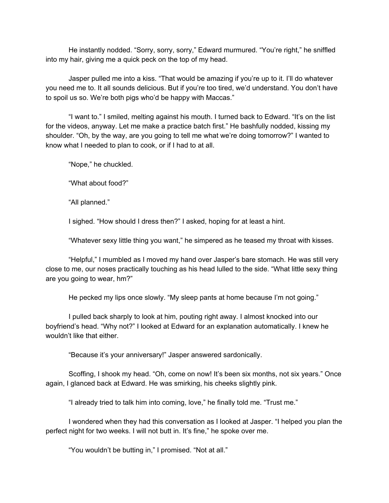He instantly nodded. "Sorry, sorry, sorry," Edward murmured. "You're right," he sniffled into my hair, giving me a quick peck on the top of my head.

Jasper pulled me into a kiss. "That would be amazing if you're up to it. I'll do whatever you need me to. It all sounds delicious. But if you're too tired, we'd understand. You don't have to spoil us so. We're both pigs who'd be happy with Maccas."

"I want to." I smiled, melting against his mouth. I turned back to Edward. "It's on the list for the videos, anyway. Let me make a practice batch first." He bashfully nodded, kissing my shoulder. "Oh, by the way, are you going to tell me what we're doing tomorrow?" I wanted to know what I needed to plan to cook, or if I had to at all.

"Nope," he chuckled.

"What about food?"

"All planned."

I sighed. "How should I dress then?" I asked, hoping for at least a hint.

"Whatever sexy little thing you want," he simpered as he teased my throat with kisses.

"Helpful," I mumbled as I moved my hand over Jasper's bare stomach. He was still very close to me, our noses practically touching as his head lulled to the side. "What little sexy thing are you going to wear, hm?"

He pecked my lips once slowly. "My sleep pants at home because I'm not going."

I pulled back sharply to look at him, pouting right away. I almost knocked into our boyfriend's head. "Why not?" I looked at Edward for an explanation automatically. I knew he wouldn't like that either.

"Because it's your anniversary!" Jasper answered sardonically.

Scoffing, I shook my head. "Oh, come on now! It's been six months, not six years." Once again, I glanced back at Edward. He was smirking, his cheeks slightly pink.

"I already tried to talk him into coming, love," he finally told me. "Trust me."

I wondered when they had this conversation as I looked at Jasper. "I helped you plan the perfect night for two weeks. I will not butt in. It's fine," he spoke over me.

"You wouldn't be butting in," I promised. "Not at all."